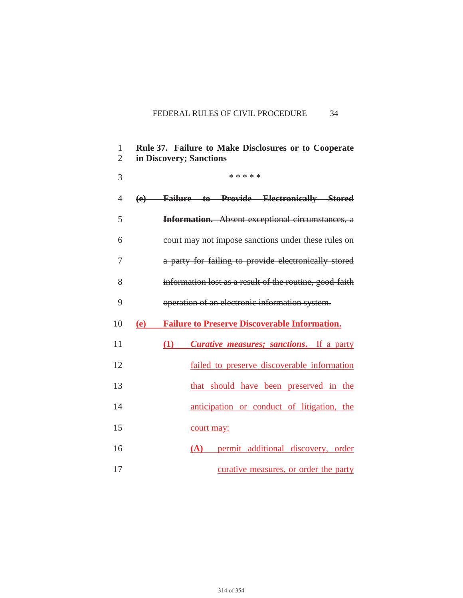| $\mathbf{1}$<br>$\overline{2}$ | Rule 37. Failure to Make Disclosures or to Cooperate<br>in Discovery; Sanctions |
|--------------------------------|---------------------------------------------------------------------------------|
| 3                              | * * * * *                                                                       |
| $\overline{4}$                 | <b>Failure to Provide Electronically Stored</b><br>(e)                          |
| 5                              | <b>Information.</b> Absent exceptional circumstances, a                         |
| 6                              | court may not impose sanctions under these rules on                             |
| $\tau$                         | a party for failing to provide electronically stored                            |
| 8                              | information lost as a result of the routine, good-faith                         |
| 9                              | operation of an electronic information system.                                  |
| 10                             | <b>Failure to Preserve Discoverable Information.</b><br><b>(e)</b>              |
| 11                             | <b>Curative measures; sanctions.</b> If a party<br>(1)                          |
| 12                             | failed to preserve discoverable information                                     |
| 13                             | that should have been preserved in the                                          |
| 14                             | anticipation or conduct of litigation, the                                      |
| 15                             | court may:                                                                      |
| 16                             | (A) permit additional discovery, order                                          |
| 17                             | curative measures, or order the party                                           |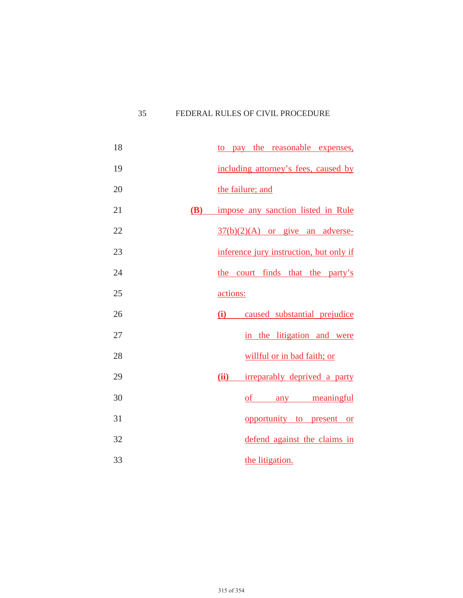## 35 FEDERAL RULES OF CIVIL PROCEDURE

| 18 |            | to pay the reasonable expenses,         |
|----|------------|-----------------------------------------|
| 19 |            | including attorney's fees, caused by    |
| 20 |            | the failure; and                        |
| 21 | <b>(B)</b> | impose any sanction listed in Rule      |
| 22 |            | $37(b)(2)(A)$ or give an adverse-       |
| 23 |            | inference jury instruction, but only if |
| 24 |            | the court finds that the party's        |
| 25 |            | actions:                                |
| 26 |            | caused substantial prejudice<br>(i)     |
| 27 |            | in the litigation and were              |
| 28 |            | willful or in bad faith; or             |
| 29 |            | (ii)<br>irreparably deprived a party    |
| 30 |            | of any meaningful                       |
| 31 |            | opportunity to present or               |
| 32 |            | defend against the claims in            |
| 33 |            | the litigation.                         |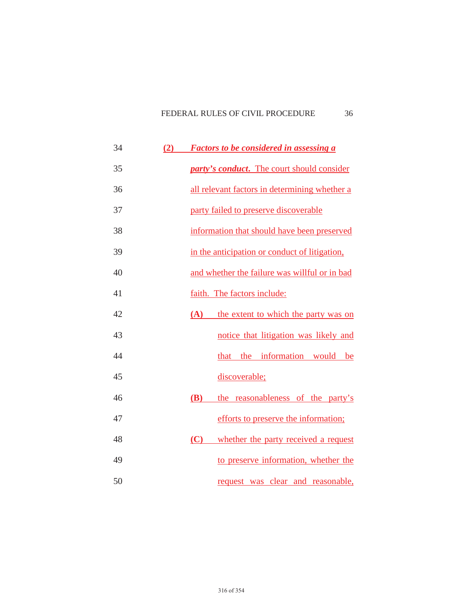## FEDERAL RULES OF CIVIL PROCEDURE 36

| 34 | (2) |            | <b>Factors to be considered in assessing a</b>    |
|----|-----|------------|---------------------------------------------------|
| 35 |     |            | <i>party's conduct.</i> The court should consider |
| 36 |     |            | all relevant factors in determining whether a     |
| 37 |     |            | party failed to preserve discoverable             |
| 38 |     |            | information that should have been preserved       |
| 39 |     |            | in the anticipation or conduct of litigation,     |
| 40 |     |            | and whether the failure was willful or in bad     |
| 41 |     |            | faith. The factors include:                       |
| 42 |     | (A)        | the extent to which the party was on              |
| 43 |     |            | notice that litigation was likely and             |
| 44 |     |            | that the information would be                     |
| 45 |     |            | discoverable;                                     |
| 46 |     | <b>(B)</b> | the reasonableness of the party's                 |
| 47 |     |            | efforts to preserve the information;              |
| 48 |     | <b>(C)</b> | whether the party received a request              |
| 49 |     |            | to preserve information, whether the              |
| 50 |     |            | request was clear and reasonable,                 |